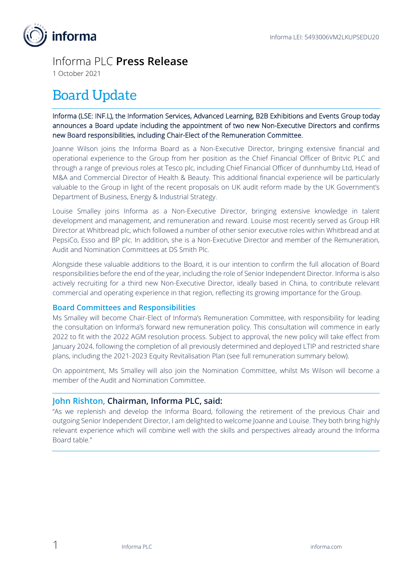

## Informa PLC **Press Release**

1 October 2021

# Board Update

Informa (LSE: INF.L), the Information Services, Advanced Learning, B2B Exhibitions and Events Group today announces a Board update including the appointment of two new Non-Executive Directors and confirms new Board responsibilities, including Chair-Elect of the Remuneration Committee.

Joanne Wilson joins the Informa Board as a Non-Executive Director, bringing extensive financial and operational experience to the Group from her position as the Chief Financial Officer of Britvic PLC and through a range of previous roles at Tesco plc, including Chief Financial Officer of dunnhumby Ltd, Head of M&A and Commercial Director of Health & Beauty. This additional financial experience will be particularly valuable to the Group in light of the recent proposals on UK audit reform made by the UK Government's Department of Business, Energy & Industrial Strategy.

Louise Smalley joins Informa as a Non-Executive Director, bringing extensive knowledge in talent development and management, and remuneration and reward. Louise most recently served as Group HR Director at Whitbread plc, which followed a number of other senior executive roles within Whitbread and at PepsiCo, Esso and BP plc. In addition, she is a Non-Executive Director and member of the Remuneration, Audit and Nomination Committees at DS Smith Plc.

Alongside these valuable additions to the Board, it is our intention to confirm the full allocation of Board responsibilities before the end of the year, including the role of Senior Independent Director. Informa is also actively recruiting for a third new Non-Executive Director, ideally based in China, to contribute relevant commercial and operating experience in that region, reflecting its growing importance for the Group.

#### **Board Committees and Responsibilities**

Ms Smalley will become Chair-Elect of Informa's Remuneration Committee, with responsibility for leading the consultation on Informa's forward new remuneration policy. This consultation will commence in early 2022 to fit with the 2022 AGM resolution process. Subject to approval, the new policy will take effect from January 2024, following the completion of all previously determined and deployed LTIP and restricted share plans, including the 2021-2023 Equity Revitalisation Plan (see full remuneration summary below).

On appointment, Ms Smalley will also join the Nomination Committee, whilst Ms Wilson will become a member of the Audit and Nomination Committee.

#### **John Rishton, Chairman, Informa PLC, said:**

"As we replenish and develop the Informa Board, following the retirement of the previous Chair and outgoing Senior Independent Director, I am delighted to welcome Joanne and Louise. They both bring highly relevant experience which will combine well with the skills and perspectives already around the Informa Board table."